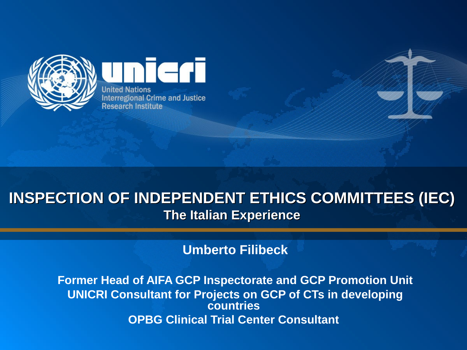

**United Nations Interregional Crime and Justice Research Institute** 

eri

#### **INSPECTION OF INDEPENDENT ETHICS COMMITTEES (IEC) The Italian Experience**

**Umberto Filibeck**

**Former Head of AIFA GCP Inspectorate and GCP Promotion Unit UNICRI Consultant for Projects on GCP of CTs in developing countries OPBG Clinical Trial Center Consultant**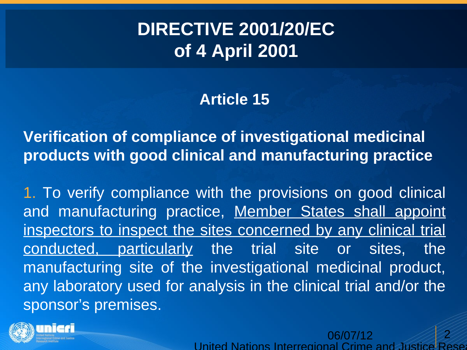# **DIRECTIVE 2001/20/EC of 4 April 2001**

#### **Article 15**

**Verification of compliance of investigational medicinal products with good clinical and manufacturing practice**

1. To verify compliance with the provisions on good clinical and manufacturing practice, Member States shall appoint inspectors to inspect the sites concerned by any clinical trial conducted, particularly the trial site or sites, the manufacturing site of the investigational medicinal product, any laboratory used for analysis in the clinical trial and/or the sponsor's premises.

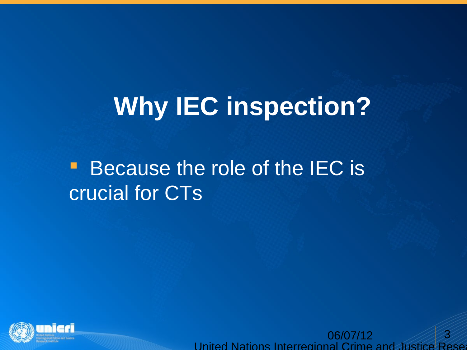# **Why IEC inspection?**

# **Because the role of the IEC is** crucial for CTs

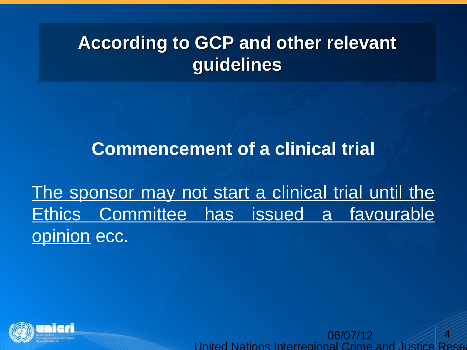# **According to GCP and other relevant guidelines**

### **Commencement of a clinical trial**

The sponsor may not start a clinical trial until the Ethics Committee has issued a favourable opinion ecc.

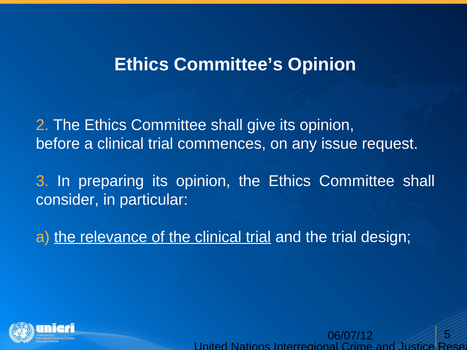#### **Ethics Committee's Opinion**

2. The Ethics Committee shall give its opinion, before a clinical trial commences, on any issue request.

3. In preparing its opinion, the Ethics Committee shall consider, in particular:

a) the relevance of the clinical trial and the trial design;

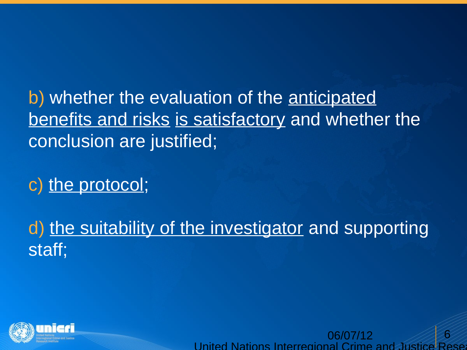b) whether the evaluation of the <u>anticipated</u> benefits and risks is satisfactory and whether the conclusion are justified;

c) the protocol;

d) the suitability of the investigator and supporting staff;

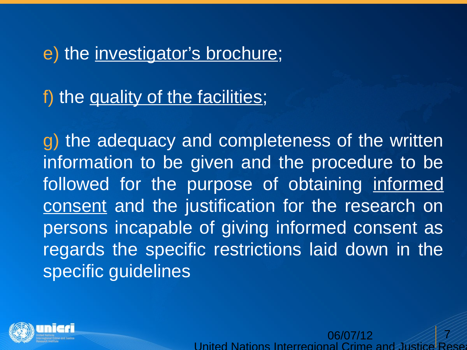#### e) the investigator's brochure;

f) the quality of the facilities;

g) the adequacy and completeness of the written information to be given and the procedure to be followed for the purpose of obtaining informed consent and the justification for the research on persons incapable of giving informed consent as regards the specific restrictions laid down in the specific guidelines

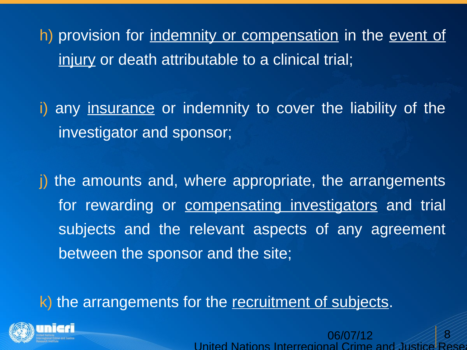h) provision for indemnity or compensation in the event of injury or death attributable to a clinical trial;

i) any <u>insurance</u> or indemnity to cover the liability of the investigator and sponsor;

i) the amounts and, where appropriate, the arrangements for rewarding or compensating investigators and trial subjects and the relevant aspects of any agreement between the sponsor and the site;

k) the arrangements for the recruitment of subjects.

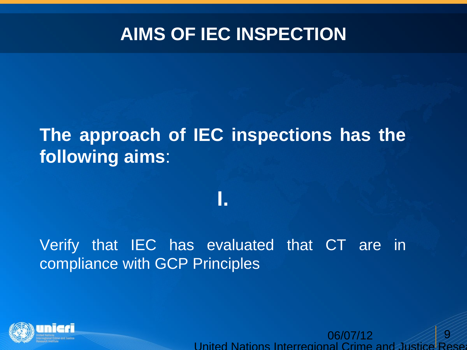# **AIMS OF IEC INSPECTION**

# **The approach of IEC inspections has the following aims**:

**I.**

#### Verify that IEC has evaluated that CT are in compliance with GCP Principles

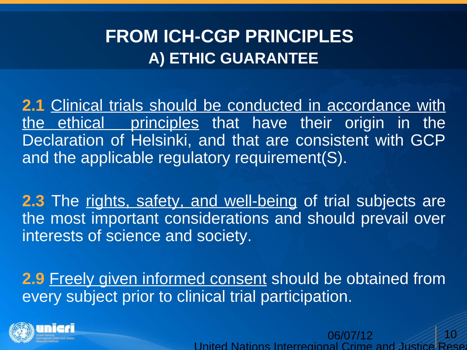# **FROM ICH-CGP PRINCIPLES A) ETHIC GUARANTEE**

**2.1** Clinical trials should be conducted in accordance with the ethical principles that have their origin in the Declaration of Helsinki, and that are consistent with GCP and the applicable regulatory requirement(S).

**2.3** The rights, safety, and well-being of trial subjects are the most important considerations and should prevail over interests of science and society.

**2.9** Freely given informed consent should be obtained from every subject prior to clinical trial participation.

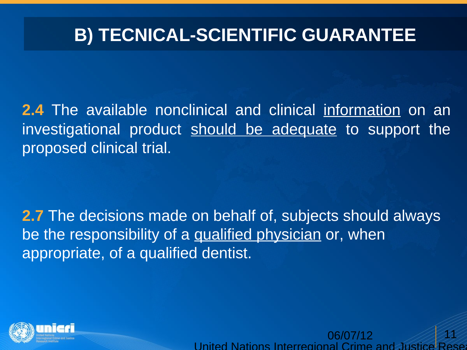# **B) TECNICAL-SCIENTIFIC GUARANTEE**

**2.4** The available nonclinical and clinical information on an investigational product should be adequate to support the proposed clinical trial.

**2.7** The decisions made on behalf of, subjects should always be the responsibility of a qualified physician or, when appropriate, of a qualified dentist.

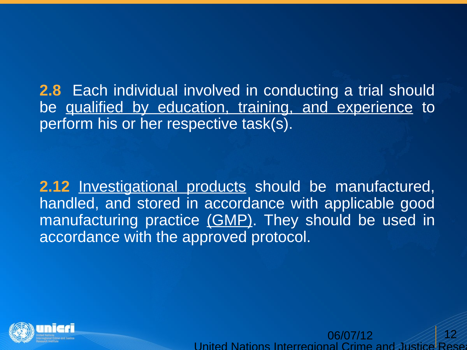**2.8** Each individual involved in conducting a trial should be qualified by education, training, and experience to perform his or her respective task(s).

**2.12** Investigational products should be manufactured, handled, and stored in accordance with applicable good manufacturing practice (GMP). They should be used in accordance with the approved protocol.

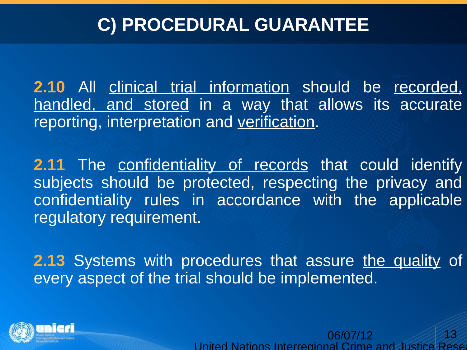# **C) PROCEDURAL GUARANTEE**

**2.10** All clinical trial information should be recorded, handled, and stored in a way that allows its accurate reporting, interpretation and verification.

**2.11** The confidentiality of records that could identify subjects should be protected, respecting the privacy and confidentiality rules in accordance with the applicable regulatory requirement.

**2.13** Systems with procedures that assure the quality of every aspect of the trial should be implemented.

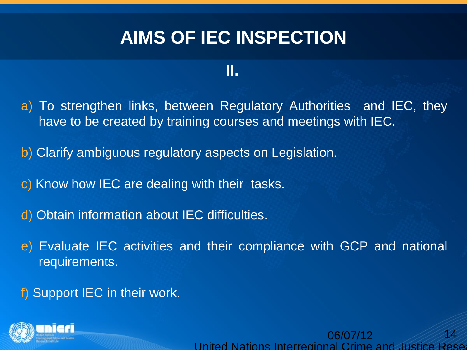# **AIMS OF IEC INSPECTION**

#### **II.**

- a) To strengthen links, between Regulatory Authorities and IEC, they have to be created by training courses and meetings with IEC.
- b) Clarify ambiguous regulatory aspects on Legislation.
- c) Know how IEC are dealing with their tasks.
- d) Obtain information about IEC difficulties.
- e) Evaluate IEC activities and their compliance with GCP and national requirements.
- f) Support IEC in their work.

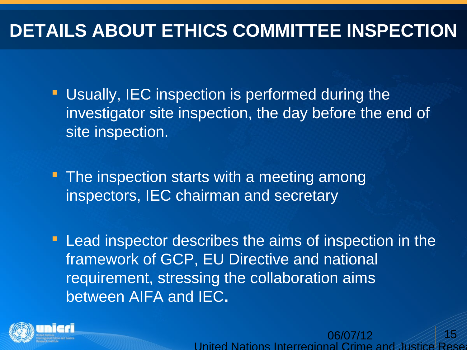# **DETAILS ABOUT ETHICS COMMITTEE INSPECTION**

**Usually, IEC inspection is performed during the** investigator site inspection, the day before the end of site inspection.

• The inspection starts with a meeting among inspectors, IEC chairman and secretary

**Lead inspector describes the aims of inspection in the** framework of GCP, EU Directive and national requirement, stressing the collaboration aims between AIFA and IEC**.**

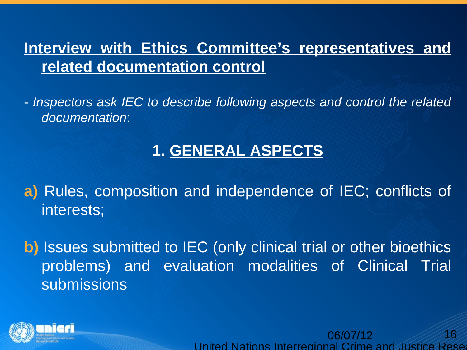#### **Interview with Ethics Committee's representatives and related documentation control**

- *Inspectors ask IEC to describe following aspects and control the related documentation*:

#### **1. GENERAL ASPECTS**

**a)** Rules, composition and independence of IEC; conflicts of interests;

**b**) Issues submitted to IEC (only clinical trial or other bioethics problems) and evaluation modalities of Clinical Trial submissions

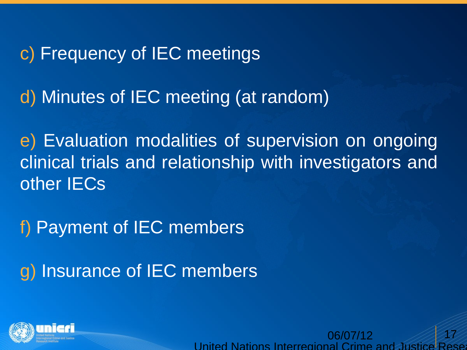c) Frequency of IEC meetings

d) Minutes of IEC meeting (at random)

e) Evaluation modalities of supervision on ongoing clinical trials and relationship with investigators and other IECs

f) Payment of IEC members

g) Insurance of IEC members

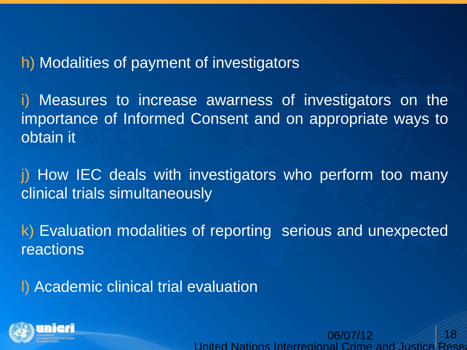#### h) Modalities of payment of investigators

i) Measures to increase awarness of investigators on the importance of Informed Consent and on appropriate ways to obtain it

j) How IEC deals with investigators who perform too many clinical trials simultaneously

k) Evaluation modalities of reporting serious and unexpected reactions

l) Academic clinical trial evaluation

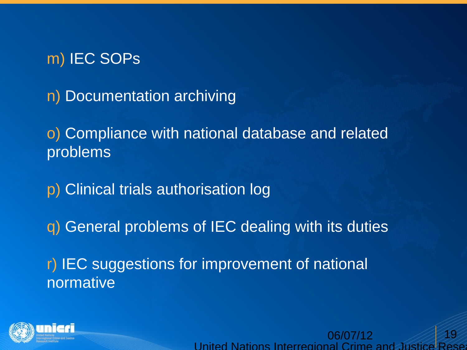#### m) IEC SOPs

n) Documentation archiving

o) Compliance with national database and related problems

p) Clinical trials authorisation log

q) General problems of IEC dealing with its duties

r) IEC suggestions for improvement of national normative

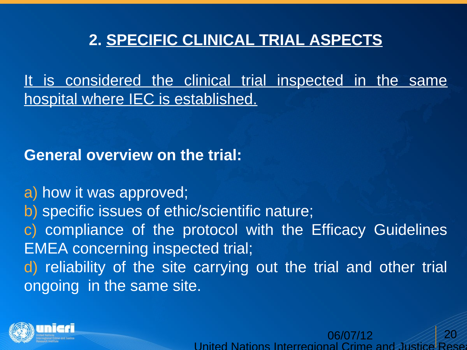#### **2. SPECIFIC CLINICAL TRIAL ASPECTS**

It is considered the clinical trial inspected in the same hospital where IEC is established.

**General overview on the trial:**

a) how it was approved; b) specific issues of ethic/scientific nature; c) compliance of the protocol with the Efficacy Guidelines EMEA concerning inspected trial; d) reliability of the site carrying out the trial and other trial ongoing in the same site.

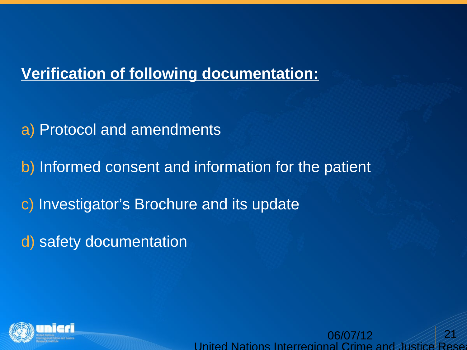#### **Verification of following documentation:**

a) Protocol and amendments

b) Informed consent and information for the patient

c) Investigator's Brochure and its update

d) safety documentation

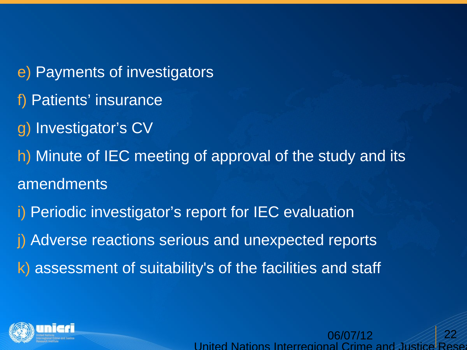e) Payments of investigators f) Patients' insurance g) Investigator's CV h) Minute of IEC meeting of approval of the study and its amendments i) Periodic investigator's report for IEC evaluation j) Adverse reactions serious and unexpected reports k) assessment of suitability's of the facilities and staff

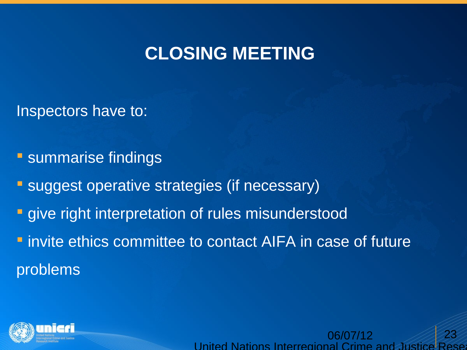## **CLOSING MEETING**

Inspectors have to:

**Summarise findings** 

**Suggest operative strategies (if necessary)** 

**qive right interpretation of rules misunderstood** 

**F** invite ethics committee to contact AIFA in case of future problems

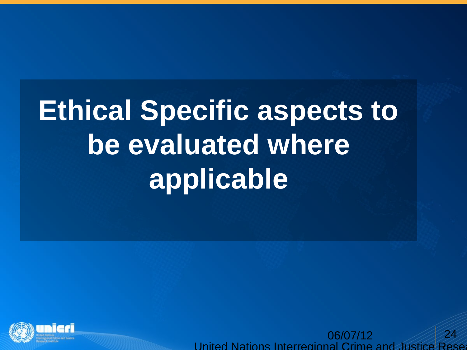# **Ethical Specific aspects to be evaluated where applicable**

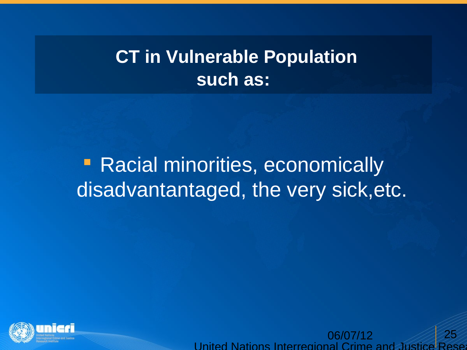# **CT in Vulnerable Population such as:**

# **• Racial minorities, economically** disadvantantaged, the very sick,etc.

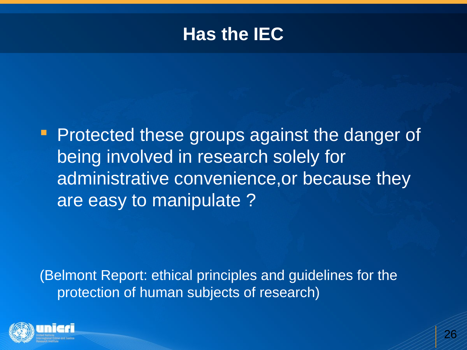### **Has the IEC**

**Protected these groups against the danger of** being involved in research solely for administrative convenience,or because they are easy to manipulate ?

(Belmont Report: ethical principles and guidelines for the protection of human subjects of research)

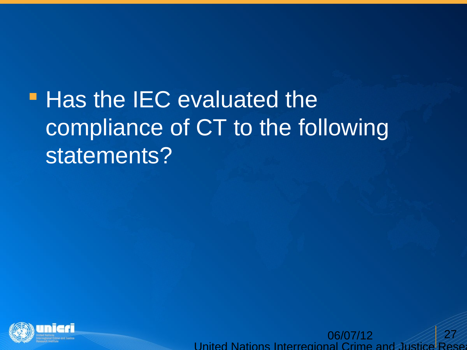# **- Has the IEC evaluated the** compliance of CT to the following statements?

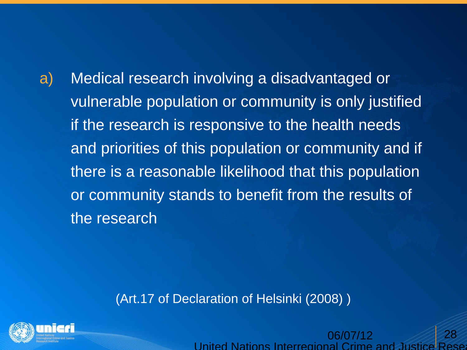a) Medical research involving a disadvantaged or vulnerable population or community is only justified if the research is responsive to the health needs and priorities of this population or community and if there is a reasonable likelihood that this population or community stands to benefit from the results of the research

(Art.17 of Declaration of Helsinki (2008) )

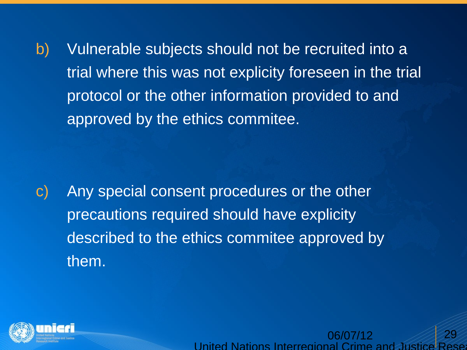b) Vulnerable subjects should not be recruited into a trial where this was not explicity foreseen in the trial protocol or the other information provided to and approved by the ethics commitee.

c) Any special consent procedures or the other precautions required should have explicity described to the ethics commitee approved by them.

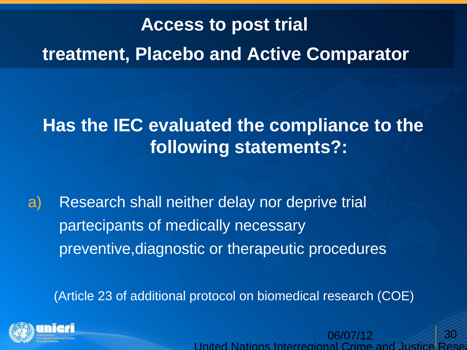# **Access to post trial treatment, Placebo and Active Comparator**

# **Has the IEC evaluated the compliance to the following statements?:**

a) Research shall neither delay nor deprive trial partecipants of medically necessary preventive,diagnostic or therapeutic procedures

(Article 23 of additional protocol on biomedical research (COE)



06/07/12 United Nations Interregional Crime 30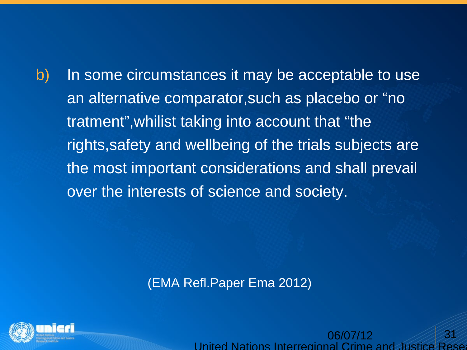b) In some circumstances it may be acceptable to use an alternative comparator,such as placebo or "no tratment",whilist taking into account that "the rights,safety and wellbeing of the trials subjects are the most important considerations and shall prevail over the interests of science and society.

(EMA Refl.Paper Ema 2012)

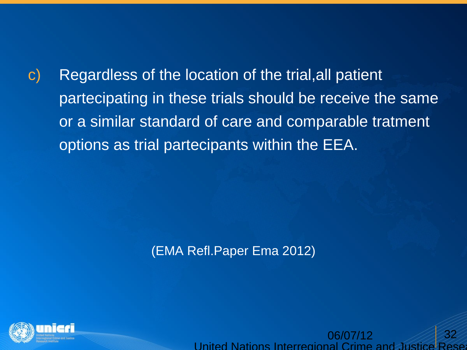c) Regardless of the location of the trial,all patient partecipating in these trials should be receive the same or a similar standard of care and comparable tratment options as trial partecipants within the EEA.

(EMA Refl.Paper Ema 2012)

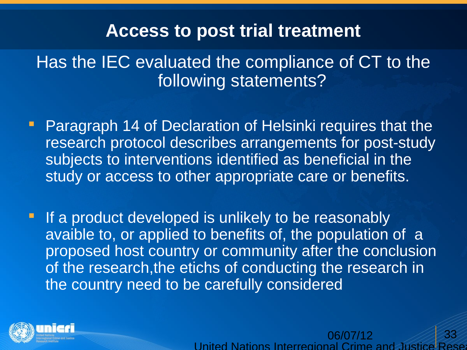### **Access to post trial treatment**

Has the IEC evaluated the compliance of CT to the following statements?

**Paragraph 14 of Declaration of Helsinki requires that the** research protocol describes arrangements for post-study subjects to interventions identified as beneficial in the study or access to other appropriate care or benefits.

**If a product developed is unlikely to be reasonably** avaible to, or applied to benefits of, the population of a proposed host country or community after the conclusion of the research,the etichs of conducting the research in the country need to be carefully considered

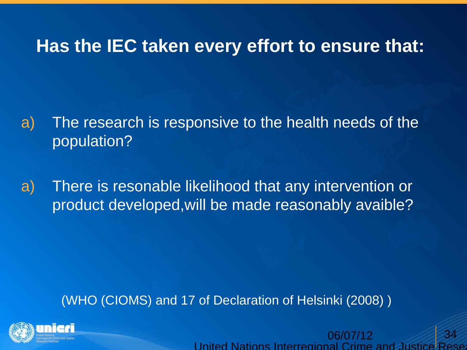### **Has the IEC taken every effort to ensure that:**

a) The research is responsive to the health needs of the population?

a) There is resonable likelihood that any intervention or product developed,will be made reasonably avaible?

#### (WHO (CIOMS) and 17 of Declaration of Helsinki (2008) )

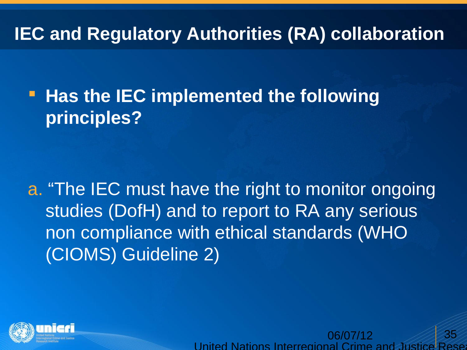# **IEC and Regulatory Authorities (RA) collaboration**

**Has the IEC implemented the following principles?**

a. "The IEC must have the right to monitor ongoing studies (DofH) and to report to RA any serious non compliance with ethical standards (WHO (CIOMS) Guideline 2)



06/07/12 United Nations Interregional Crime 35